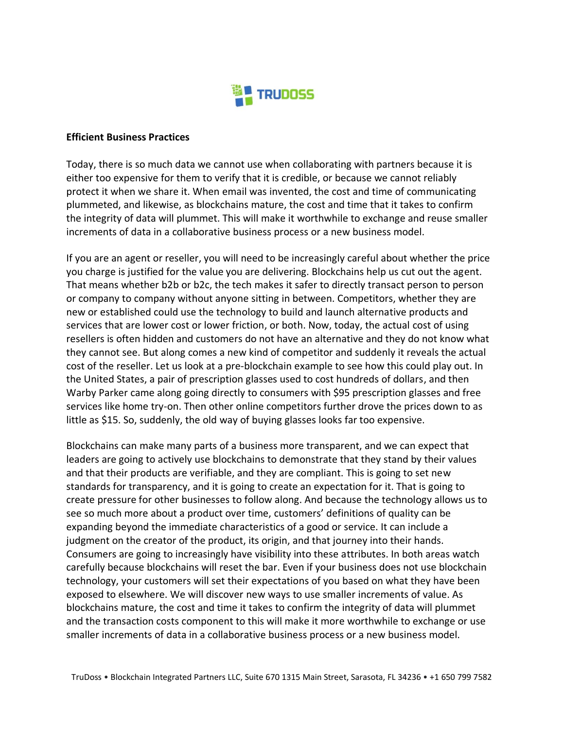

## **Efficient Business Practices**

Today, there is so much data we cannot use when collaborating with partners because it is either too expensive for them to verify that it is credible, or because we cannot reliably protect it when we share it. When email was invented, the cost and time of communicating plummeted, and likewise, as blockchains mature, the cost and time that it takes to confirm the integrity of data will plummet. This will make it worthwhile to exchange and reuse smaller increments of data in a collaborative business process or a new business model.

If you are an agent or reseller, you will need to be increasingly careful about whether the price you charge is justified for the value you are delivering. Blockchains help us cut out the agent. That means whether b2b or b2c, the tech makes it safer to directly transact person to person or company to company without anyone sitting in between. Competitors, whether they are new or established could use the technology to build and launch alternative products and services that are lower cost or lower friction, or both. Now, today, the actual cost of using resellers is often hidden and customers do not have an alternative and they do not know what they cannot see. But along comes a new kind of competitor and suddenly it reveals the actual cost of the reseller. Let us look at a pre-blockchain example to see how this could play out. In the United States, a pair of prescription glasses used to cost hundreds of dollars, and then Warby Parker came along going directly to consumers with \$95 prescription glasses and free services like home try-on. Then other online competitors further drove the prices down to as little as \$15. So, suddenly, the old way of buying glasses looks far too expensive.

Blockchains can make many parts of a business more transparent, and we can expect that leaders are going to actively use blockchains to demonstrate that they stand by their values and that their products are verifiable, and they are compliant. This is going to set new standards for transparency, and it is going to create an expectation for it. That is going to create pressure for other businesses to follow along. And because the technology allows us to see so much more about a product over time, customers' definitions of quality can be expanding beyond the immediate characteristics of a good or service. It can include a judgment on the creator of the product, its origin, and that journey into their hands. Consumers are going to increasingly have visibility into these attributes. In both areas watch carefully because blockchains will reset the bar. Even if your business does not use blockchain technology, your customers will set their expectations of you based on what they have been exposed to elsewhere. We will discover new ways to use smaller increments of value. As blockchains mature, the cost and time it takes to confirm the integrity of data will plummet and the transaction costs component to this will make it more worthwhile to exchange or use smaller increments of data in a collaborative business process or a new business model.